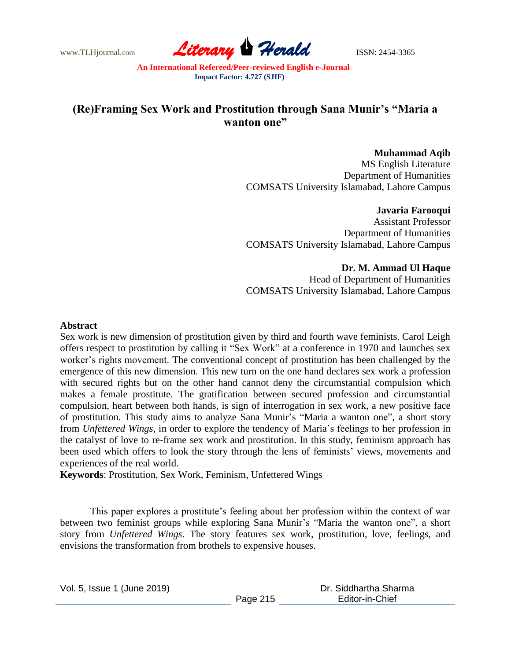www.TLHjournal.com **Literary Herald** ISSN: 2454-3365

# **(Re)Framing Sex Work and Prostitution through Sana Munir's "Maria a wanton one"**

**Muhammad Aqib** MS English Literature Department of Humanities COMSATS University Islamabad, Lahore Campus

**Javaria Farooqui** Assistant Professor Department of Humanities COMSATS University Islamabad, Lahore Campus

> **Dr. M. Ammad Ul Haque** Head of Department of Humanities

COMSATS University Islamabad, Lahore Campus

#### **Abstract**

Sex work is new dimension of prostitution given by third and fourth wave feminists. Carol Leigh offers respect to prostitution by calling it "Sex Work" at a conference in 1970 and launches sex worker's rights movement. The conventional concept of prostitution has been challenged by the emergence of this new dimension. This new turn on the one hand declares sex work a profession with secured rights but on the other hand cannot deny the circumstantial compulsion which makes a female prostitute. The gratification between secured profession and circumstantial compulsion, heart between both hands, is sign of interrogation in sex work, a new positive face of prostitution. This study aims to analyze Sana Munir's "Maria a wanton one", a short story from *Unfettered Wings*, in order to explore the tendency of Maria's feelings to her profession in the catalyst of love to re-frame sex work and prostitution. In this study, feminism approach has been used which offers to look the story through the lens of feminists' views, movements and experiences of the real world.

**Keywords**: Prostitution, Sex Work, Feminism, Unfettered Wings

This paper explores a prostitute's feeling about her profession within the context of war between two feminist groups while exploring Sana Munir's "Maria the wanton one", a short story from *Unfettered Wings*. The story features sex work, prostitution, love, feelings, and envisions the transformation from brothels to expensive houses.

| Vol. 5, Issue 1 (June 2019) |          | Dr. Siddhartha Sharma |  |
|-----------------------------|----------|-----------------------|--|
|                             | Page 215 | Editor-in-Chief       |  |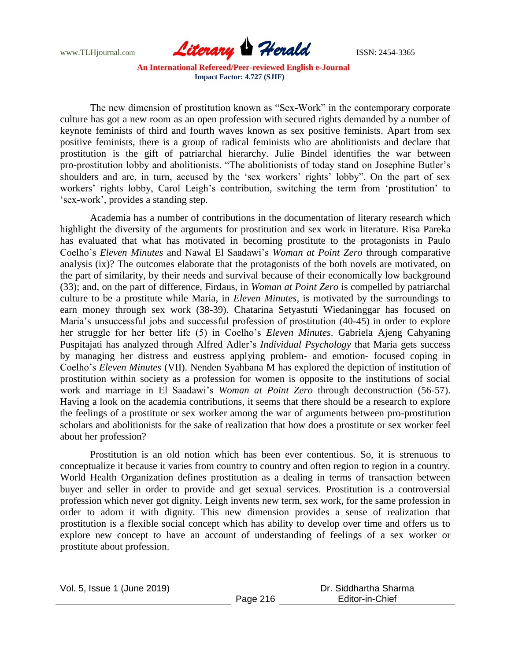

The new dimension of prostitution known as "Sex-Work" in the contemporary corporate culture has got a new room as an open profession with secured rights demanded by a number of keynote feminists of third and fourth waves known as sex positive feminists. Apart from sex positive feminists, there is a group of radical feminists who are abolitionists and declare that prostitution is the gift of patriarchal hierarchy. Julie Bindel identifies the war between pro-prostitution lobby and abolitionists. "The abolitionists of today stand on Josephine Butler's shoulders and are, in turn, accused by the 'sex workers' rights' lobby". On the part of sex workers' rights lobby, Carol Leigh's contribution, switching the term from 'prostitution' to ‗sex-work', provides a standing step.

Academia has a number of contributions in the documentation of literary research which highlight the diversity of the arguments for prostitution and sex work in literature. Risa Pareka has evaluated that what has motivated in becoming prostitute to the protagonists in Paulo Coelho's *Eleven Minutes* and Nawal El Saadawi's *Woman at Point Zero* through comparative analysis (ix)? The outcomes elaborate that the protagonists of the both novels are motivated, on the part of similarity, by their needs and survival because of their economically low background (33); and, on the part of difference, Firdaus, in *Woman at Point Zero* is compelled by patriarchal culture to be a prostitute while Maria, in *Eleven Minutes,* is motivated by the surroundings to earn money through sex work (38-39). Chatarina Setyastuti Wiedaninggar has focused on Maria's unsuccessful jobs and successful profession of prostitution (40-45) in order to explore her struggle for her better life (5) in Coelho's *Eleven Minutes*. Gabriela Ajeng Cahyaning Puspitajati has analyzed through Alfred Adler's *Individual Psychology* that Maria gets success by managing her distress and eustress applying problem- and emotion- focused coping in Coelho's *Eleven Minutes* (VII). Nenden Syahbana M has explored the depiction of institution of prostitution within society as a profession for women is opposite to the institutions of social work and marriage in El Saadawi's *Woman at Point Zero* through deconstruction (56-57). Having a look on the academia contributions, it seems that there should be a research to explore the feelings of a prostitute or sex worker among the war of arguments between pro-prostitution scholars and abolitionists for the sake of realization that how does a prostitute or sex worker feel about her profession?

Prostitution is an old notion which has been ever contentious. So, it is strenuous to conceptualize it because it varies from country to country and often region to region in a country. World Health Organization defines prostitution as a dealing in terms of transaction between buyer and seller in order to provide and get sexual services. Prostitution is a controversial profession which never got dignity. Leigh invents new term, sex work, for the same profession in order to adorn it with dignity. This new dimension provides a sense of realization that prostitution is a flexible social concept which has ability to develop over time and offers us to explore new concept to have an account of understanding of feelings of a sex worker or prostitute about profession.

Vol. 5, Issue 1 (June 2019)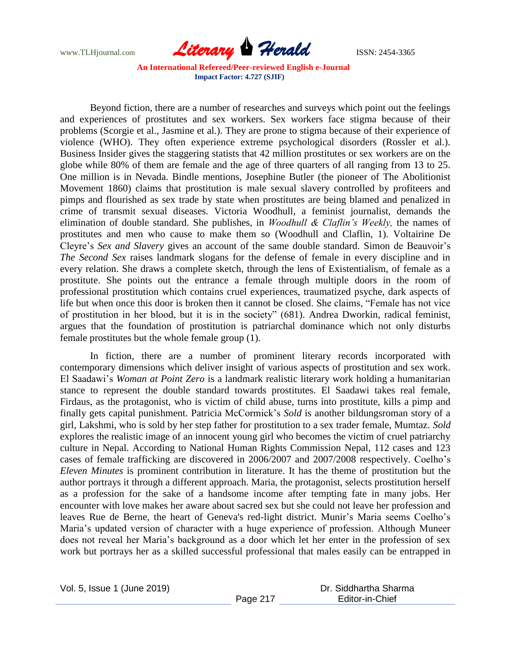

Beyond fiction, there are a number of researches and surveys which point out the feelings and experiences of prostitutes and sex workers. Sex workers face stigma because of their problems (Scorgie et al., Jasmine et al.). They are prone to stigma because of their experience of violence (WHO). They often experience extreme psychological disorders (Rossler et al.). Business Insider gives the staggering statists that 42 million prostitutes or sex workers are on the globe while 80% of them are female and the age of three quarters of all ranging from 13 to 25. One million is in Nevada. Bindle mentions, Josephine Butler (the pioneer of The Abolitionist Movement 1860) claims that prostitution is male sexual slavery controlled by profiteers and pimps and flourished as sex trade by state when prostitutes are being blamed and penalized in crime of transmit sexual diseases. Victoria Woodhull, a feminist journalist, demands the elimination of double standard. She publishes, in *Woodhull & Claflin's Weekly,* the names of prostitutes and men who cause to make them so (Woodhull and Claflin, 1). Voltairine De Cleyre's *Sex and Slavery* gives an account of the same double standard. Simon de Beauvoir's *The Second Sex* raises landmark slogans for the defense of female in every discipline and in every relation. She draws a complete sketch, through the lens of Existentialism, of female as a prostitute. She points out the entrance a female through multiple doors in the room of professional prostitution which contains cruel experiences, traumatized psyche, dark aspects of life but when once this door is broken then it cannot be closed. She claims, "Female has not vice of prostitution in her blood, but it is in the society" (681). Andrea Dworkin, radical feminist, argues that the foundation of prostitution is patriarchal dominance which not only disturbs female prostitutes but the whole female group (1).

In fiction, there are a number of prominent literary records incorporated with contemporary dimensions which deliver insight of various aspects of prostitution and sex work. El Saadawi's *Woman at Point Zero* is a landmark realistic literary work holding a humanitarian stance to represent the double standard towards prostitutes. El Saadawi takes real female, Firdaus, as the protagonist, who is victim of child abuse, turns into prostitute, kills a pimp and finally gets capital punishment. Patricia McCormick's *Sold* is another bildungsroman story of a girl, Lakshmi, who is sold by her step father for prostitution to a sex trader female, Mumtaz. *Sold* explores the realistic image of an innocent young girl who becomes the victim of cruel patriarchy culture in Nepal. According to National Human Rights Commission Nepal, 112 cases and 123 cases of female trafficking are discovered in 2006/2007 and 2007/2008 respectively. Coelho's *Eleven Minutes* is prominent contribution in literature. It has the theme of prostitution but the author portrays it through a different approach. Maria, the protagonist, selects prostitution herself as a profession for the sake of a handsome income after tempting fate in many jobs. Her encounter with love makes her aware about sacred sex but she could not leave her profession and leaves Rue de Berne, the heart of Geneva's red-light district. Munir's Maria seems Coelho's Maria's updated version of character with a huge experience of profession. Although Muneer does not reveal her Maria's background as a door which let her enter in the profession of sex work but portrays her as a skilled successful professional that males easily can be entrapped in

Vol. 5, Issue 1 (June 2019)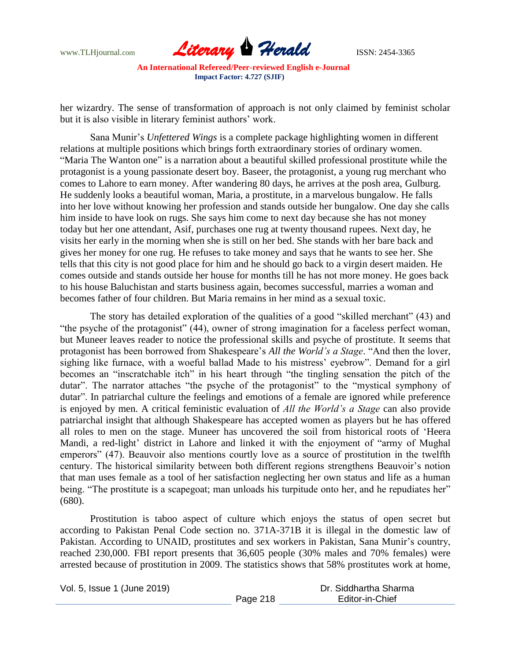www.TLHjournal.com **Literary Herald** ISSN: 2454-3365

her wizardry. The sense of transformation of approach is not only claimed by feminist scholar but it is also visible in literary feminist authors' work.

Sana Munir's *Unfettered Wings* is a complete package highlighting women in different relations at multiple positions which brings forth extraordinary stories of ordinary women. "Maria The Wanton one" is a narration about a beautiful skilled professional prostitute while the protagonist is a young passionate desert boy. Baseer, the protagonist, a young rug merchant who comes to Lahore to earn money. After wandering 80 days, he arrives at the posh area, Gulburg. He suddenly looks a beautiful woman, Maria, a prostitute, in a marvelous bungalow. He falls into her love without knowing her profession and stands outside her bungalow. One day she calls him inside to have look on rugs. She says him come to next day because she has not money today but her one attendant, Asif, purchases one rug at twenty thousand rupees. Next day, he visits her early in the morning when she is still on her bed. She stands with her bare back and gives her money for one rug. He refuses to take money and says that he wants to see her. She tells that this city is not good place for him and he should go back to a virgin desert maiden. He comes outside and stands outside her house for months till he has not more money. He goes back to his house Baluchistan and starts business again, becomes successful, marries a woman and becomes father of four children. But Maria remains in her mind as a sexual toxic.

The story has detailed exploration of the qualities of a good "skilled merchant" (43) and "the psyche of the protagonist" (44), owner of strong imagination for a faceless perfect woman, but Muneer leaves reader to notice the professional skills and psyche of prostitute. It seems that protagonist has been borrowed from Shakespeare's *All the World's a Stage*. "And then the lover, sighing like furnace, with a woeful ballad Made to his mistress' evebrow". Demand for a girl becomes an "inscratchable itch" in his heart through "the tingling sensation the pitch of the dutar". The narrator attaches "the psyche of the protagonist" to the "mystical symphony of dutar". In patriarchal culture the feelings and emotions of a female are ignored while preference is enjoyed by men. A critical feministic evaluation of *All the World's a Stage* can also provide patriarchal insight that although Shakespeare has accepted women as players but he has offered all roles to men on the stage. Muneer has uncovered the soil from historical roots of ‗Heera Mandi, a red-light' district in Lahore and linked it with the enjoyment of "army of Mughal emperors" (47). Beauvoir also mentions courtly love as a source of prostitution in the twelfth century. The historical similarity between both different regions strengthens Beauvoir's notion that man uses female as a tool of her satisfaction neglecting her own status and life as a human being. "The prostitute is a scapegoat; man unloads his turpitude onto her, and he repudiates her" (680).

Prostitution is taboo aspect of culture which enjoys the status of open secret but according to Pakistan Penal Code section no. 371A-371B it is illegal in the domestic law of Pakistan. According to UNAID, prostitutes and sex workers in Pakistan, Sana Munir's country, reached 230,000. FBI report presents that 36,605 people (30% males and 70% females) were arrested because of prostitution in 2009. The statistics shows that 58% prostitutes work at home,

Vol. 5, Issue 1 (June 2019)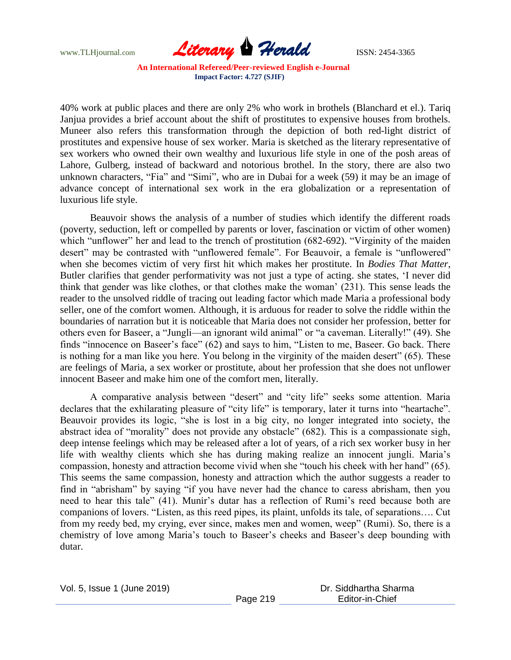

40% work at public places and there are only 2% who work in brothels (Blanchard et el.). Tariq Janjua provides a brief account about the shift of prostitutes to expensive houses from brothels. Muneer also refers this transformation through the depiction of both red-light district of prostitutes and expensive house of sex worker. Maria is sketched as the literary representative of sex workers who owned their own wealthy and luxurious life style in one of the posh areas of Lahore, Gulberg, instead of backward and notorious brothel. In the story, there are also two unknown characters, "Fia" and "Simi", who are in Dubai for a week (59) it may be an image of advance concept of international sex work in the era globalization or a representation of luxurious life style.

Beauvoir shows the analysis of a number of studies which identify the different roads (poverty, seduction, left or compelled by parents or lover, fascination or victim of other women) which "unflower" her and lead to the trench of prostitution (682-692). "Virginity of the maiden desert" may be contrasted with "unflowered female". For Beauvoir, a female is "unflowered" when she becomes victim of very first hit which makes her prostitute. In *Bodies That Matter*, Butler clarifies that gender performativity was not just a type of acting. she states, 'I never did think that gender was like clothes, or that clothes make the woman' (231). This sense leads the reader to the unsolved riddle of tracing out leading factor which made Maria a professional body seller, one of the comfort women. Although, it is arduous for reader to solve the riddle within the boundaries of narration but it is noticeable that Maria does not consider her profession, better for others even for Baseer, a "Jungli—an ignorant wild animal" or "a caveman. Literally!" (49). She finds "innocence on Baseer's face" (62) and says to him, "Listen to me, Baseer. Go back. There is nothing for a man like you here. You belong in the virginity of the maiden desert" (65). These are feelings of Maria, a sex worker or prostitute, about her profession that she does not unflower innocent Baseer and make him one of the comfort men, literally.

A comparative analysis between "desert" and "city life" seeks some attention. Maria declares that the exhilarating pleasure of "city life" is temporary, later it turns into "heartache". Beauvoir provides its logic, "she is lost in a big city, no longer integrated into society, the abstract idea of "morality" does not provide any obstacle" (682). This is a compassionate sigh, deep intense feelings which may be released after a lot of years, of a rich sex worker busy in her life with wealthy clients which she has during making realize an innocent jungli. Maria's compassion, honesty and attraction become vivid when she "touch his cheek with her hand" (65). This seems the same compassion, honesty and attraction which the author suggests a reader to find in "abrisham" by saying "if you have never had the chance to caress abrisham, then you need to hear this tale" (41). Munir's dutar has a reflection of Rumi's reed because both are companions of lovers. "Listen, as this reed pipes, its plaint, unfolds its tale, of separations.... Cut from my reedy bed, my crying, ever since, makes men and women, weep" (Rumi). So, there is a chemistry of love among Maria's touch to Baseer's cheeks and Baseer's deep bounding with dutar.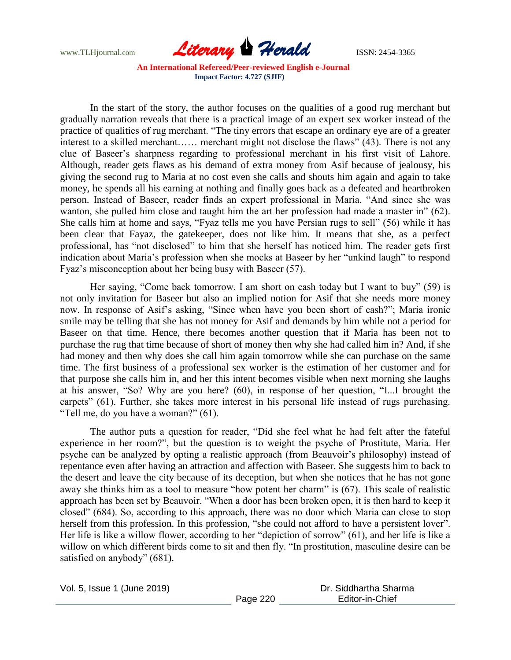

In the start of the story, the author focuses on the qualities of a good rug merchant but gradually narration reveals that there is a practical image of an expert sex worker instead of the practice of qualities of rug merchant. "The tiny errors that escape an ordinary eye are of a greater interest to a skilled merchant…… merchant might not disclose the flaws"  $(43)$ . There is not any clue of Baseer's sharpness regarding to professional merchant in his first visit of Lahore. Although, reader gets flaws as his demand of extra money from Asif because of jealousy, his giving the second rug to Maria at no cost even she calls and shouts him again and again to take money, he spends all his earning at nothing and finally goes back as a defeated and heartbroken person. Instead of Baseer, reader finds an expert professional in Maria. "And since she was wanton, she pulled him close and taught him the art her profession had made a master in"  $(62)$ . She calls him at home and says, "Fyaz tells me you have Persian rugs to sell" (56) while it has been clear that Fayaz, the gatekeeper, does not like him. It means that she, as a perfect professional, has "not disclosed" to him that she herself has noticed him. The reader gets first indication about Maria's profession when she mocks at Baseer by her "unkind laugh" to respond Fyaz's misconception about her being busy with Baseer (57).

Her saying, "Come back tomorrow. I am short on cash today but I want to buy"  $(59)$  is not only invitation for Baseer but also an implied notion for Asif that she needs more money now. In response of Asif's asking, "Since when have you been short of cash?"; Maria ironic smile may be telling that she has not money for Asif and demands by him while not a period for Baseer on that time. Hence, there becomes another question that if Maria has been not to purchase the rug that time because of short of money then why she had called him in? And, if she had money and then why does she call him again tomorrow while she can purchase on the same time. The first business of a professional sex worker is the estimation of her customer and for that purpose she calls him in, and her this intent becomes visible when next morning she laughs at his answer, "So? Why are you here? (60), in response of her question, "I...I brought the carpets" (61). Further, she takes more interest in his personal life instead of rugs purchasing. "Tell me, do you have a woman?"  $(61)$ .

The author puts a question for reader, "Did she feel what he had felt after the fateful experience in her room?", but the question is to weight the psyche of Prostitute, Maria. Her psyche can be analyzed by opting a realistic approach (from Beauvoir's philosophy) instead of repentance even after having an attraction and affection with Baseer. She suggests him to back to the desert and leave the city because of its deception, but when she notices that he has not gone away she thinks him as a tool to measure "how potent her charm" is (67). This scale of realistic approach has been set by Beauvoir. "When a door has been broken open, it is then hard to keep it closed‖ (684). So, according to this approach, there was no door which Maria can close to stop herself from this profession. In this profession, "she could not afford to have a persistent lover". Her life is like a willow flower, according to her "depiction of sorrow"  $(61)$ , and her life is like a willow on which different birds come to sit and then fly. "In prostitution, masculine desire can be satisfied on anybody"  $(681)$ .

| Vol. 5, Issue 1 (June 2019) |  |
|-----------------------------|--|
|-----------------------------|--|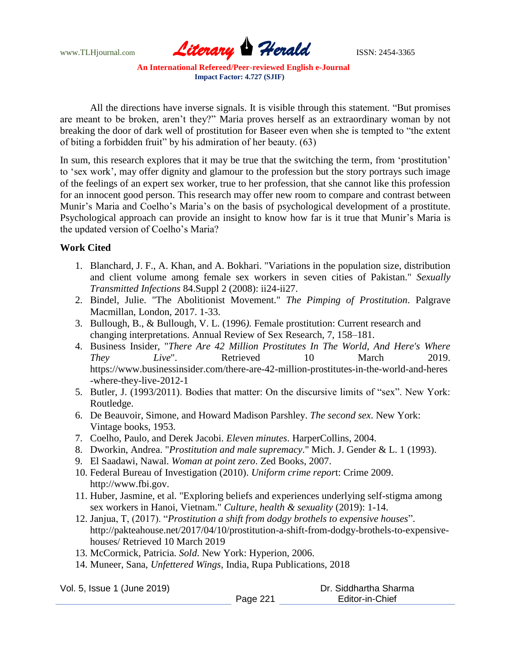www.TLHjournal.com *Literary Herald*ISSN: 2454-3365

All the directions have inverse signals. It is visible through this statement. "But promises are meant to be broken, aren't they?" Maria proves herself as an extraordinary woman by not breaking the door of dark well of prostitution for Baseer even when she is tempted to "the extent" of biting a forbidden fruit" by his admiration of her beauty.  $(63)$ 

In sum, this research explores that it may be true that the switching the term, from 'prostitution' to 'sex work', may offer dignity and glamour to the profession but the story portrays such image of the feelings of an expert sex worker, true to her profession, that she cannot like this profession for an innocent good person. This research may offer new room to compare and contrast between Munir's Maria and Coelho's Maria's on the basis of psychological development of a prostitute. Psychological approach can provide an insight to know how far is it true that Munir's Maria is the updated version of Coelho's Maria?

## **Work Cited**

- 1. Blanchard, J. F., A. Khan, and A. Bokhari. "Variations in the population size, distribution and client volume among female sex workers in seven cities of Pakistan." *Sexually Transmitted Infections* 84.Suppl 2 (2008): ii24-ii27.
- 2. Bindel, Julie. "The Abolitionist Movement." *The Pimping of Prostitution*. Palgrave Macmillan, London, 2017. 1-33.
- 3. Bullough, B., & Bullough, V. L. (1996*).* Female prostitution: Current research and changing interpretations. Annual Review of Sex Research, 7, 158–181.
- 4. Business Insider, "*There Are 42 Million Prostitutes In The World, And Here's Where They Live*". Retrieved 10 March 2019. https://www.businessinsider.com/there-are-42-million-prostitutes-in-the-world-and-heres -where-they-live-2012-1
- 5. Butler, J. (1993/2011). Bodies that matter: On the discursive limits of "sex". New York: Routledge.
- 6. De Beauvoir, Simone, and Howard Madison Parshley. *The second sex*. New York: Vintage books, 1953.
- 7. Coelho, Paulo, and Derek Jacobi. *Eleven minutes*. HarperCollins, 2004.
- 8. Dworkin, Andrea. "*Prostitution and male supremacy*." Mich. J. Gender & L. 1 (1993).
- 9. El Saadawi, Nawal. *Woman at point zero*. Zed Books, 2007.
- 10. Federal Bureau of Investigation (2010). *Uniform crime repor*t: Crime 2009. http://www.fbi.gov.
- 11. Huber, Jasmine, et al. "Exploring beliefs and experiences underlying self-stigma among sex workers in Hanoi, Vietnam." *Culture, health & sexuality* (2019): 1-14.
- 12. Janjua, T, (2017). "*Prostitution a shift from dodgy brothels to expensive houses*". http://pakteahouse.net/2017/04/10/prostitution-a-shift-from-dodgy-brothels-to-expensivehouses/ Retrieved 10 March 2019
- 13. McCormick, Patricia. *Sold*. New York: Hyperion, 2006.
- 14. Muneer, Sana, *Unfettered Wings*, India, Rupa Publications, 2018

Vol. 5, Issue 1 (June 2019)

Page 221